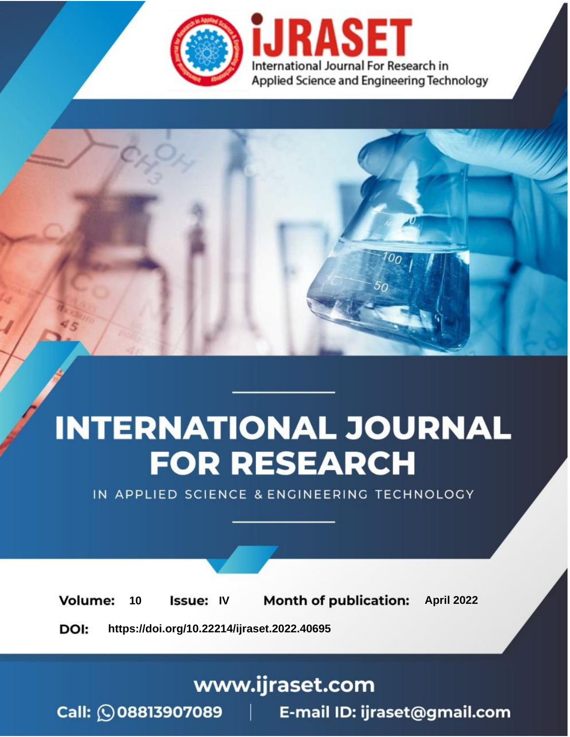

# **INTERNATIONAL JOURNAL FOR RESEARCH**

IN APPLIED SCIENCE & ENGINEERING TECHNOLOGY

10 **Issue: IV Month of publication:** April 2022 **Volume:** 

**https://doi.org/10.22214/ijraset.2022.40695**DOI:

www.ijraset.com

Call: 008813907089 | E-mail ID: ijraset@gmail.com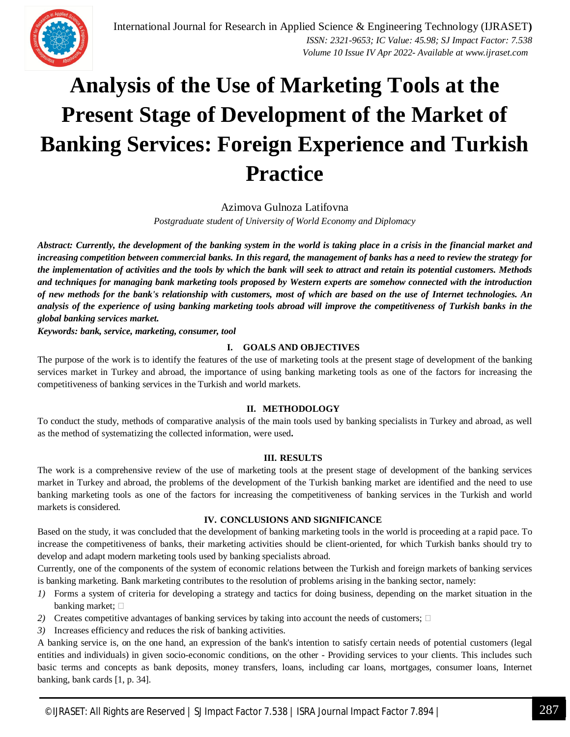

### **Analysis of the Use of Marketing Tools at the Present Stage of Development of the Market of Banking Services: Foreign Experience and Turkish Practice**

Azimova Gulnoza Latifovna

*Postgraduate student of University of World Economy and Diplomacy*

*Abstract: Currently, the development of the banking system in the world is taking place in a crisis in the financial market and increasing competition between commercial banks. In this regard, the management of banks has a need to review the strategy for the implementation of activities and the tools by which the bank will seek to attract and retain its potential customers. Methods and techniques for managing bank marketing tools proposed by Western experts are somehow connected with the introduction of new methods for the bank's relationship with customers, most of which are based on the use of Internet technologies. An analysis of the experience of using banking marketing tools abroad will improve the competitiveness of Turkish banks in the global banking services market.* 

*Keywords: bank, service, marketing, consumer, tool* 

#### **I. GOALS AND OBJECTIVES**

The purpose of the work is to identify the features of the use of marketing tools at the present stage of development of the banking services market in Turkey and abroad, the importance of using banking marketing tools as one of the factors for increasing the competitiveness of banking services in the Turkish and world markets.

#### **II. METHODOLOGY**

To conduct the study, methods of comparative analysis of the main tools used by banking specialists in Turkey and abroad, as well as the method of systematizing the collected information, were used**.** 

#### **III. RESULTS**

The work is a comprehensive review of the use of marketing tools at the present stage of development of the banking services market in Turkey and abroad, the problems of the development of the Turkish banking market are identified and the need to use banking marketing tools as one of the factors for increasing the competitiveness of banking services in the Turkish and world markets is considered.

#### **IV. CONCLUSIONS AND SIGNIFICANCE**

Based on the study, it was concluded that the development of banking marketing tools in the world is proceeding at a rapid pace. To increase the competitiveness of banks, their marketing activities should be client-oriented, for which Turkish banks should try to develop and adapt modern marketing tools used by banking specialists abroad.

Currently, one of the components of the system of economic relations between the Turkish and foreign markets of banking services is banking marketing. Bank marketing contributes to the resolution of problems arising in the banking sector, namely:

- *1)* Forms a system of criteria for developing a strategy and tactics for doing business, depending on the market situation in the banking market;
- 2) Creates competitive advantages of banking services by taking into account the needs of customers;  $\Box$
- *3)* Increases efficiency and reduces the risk of banking activities.

A banking service is, on the one hand, an expression of the bank's intention to satisfy certain needs of potential customers (legal entities and individuals) in given socio-economic conditions, on the other - Providing services to your clients. This includes such basic terms and concepts as bank deposits, money transfers, loans, including car loans, mortgages, consumer loans, Internet banking, bank cards [1, p. 34].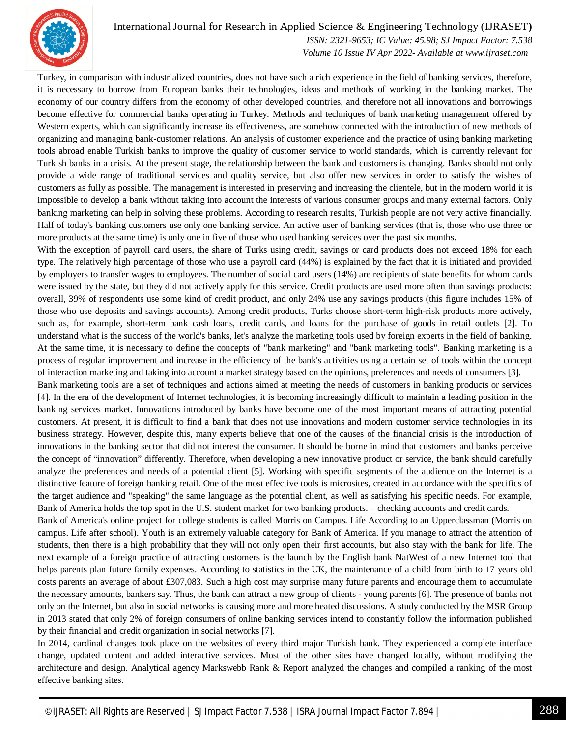

#### International Journal for Research in Applied Science & Engineering Technology (IJRASET**)**

 *ISSN: 2321-9653; IC Value: 45.98; SJ Impact Factor: 7.538 Volume 10 Issue IV Apr 2022- Available at www.ijraset.com*

Turkey, in comparison with industrialized countries, does not have such a rich experience in the field of banking services, therefore, it is necessary to borrow from European banks their technologies, ideas and methods of working in the banking market. The economy of our country differs from the economy of other developed countries, and therefore not all innovations and borrowings become effective for commercial banks operating in Turkey. Methods and techniques of bank marketing management offered by Western experts, which can significantly increase its effectiveness, are somehow connected with the introduction of new methods of organizing and managing bank-customer relations. An analysis of customer experience and the practice of using banking marketing tools abroad enable Turkish banks to improve the quality of customer service to world standards, which is currently relevant for Turkish banks in a crisis. At the present stage, the relationship between the bank and customers is changing. Banks should not only provide a wide range of traditional services and quality service, but also offer new services in order to satisfy the wishes of customers as fully as possible. The management is interested in preserving and increasing the clientele, but in the modern world it is impossible to develop a bank without taking into account the interests of various consumer groups and many external factors. Only banking marketing can help in solving these problems. According to research results, Turkish people are not very active financially. Half of today's banking customers use only one banking service. An active user of banking services (that is, those who use three or more products at the same time) is only one in five of those who used banking services over the past six months.

With the exception of payroll card users, the share of Turks using credit, savings or card products does not exceed 18% for each type. The relatively high percentage of those who use a payroll card (44%) is explained by the fact that it is initiated and provided by employers to transfer wages to employees. The number of social card users (14%) are recipients of state benefits for whom cards were issued by the state, but they did not actively apply for this service. Credit products are used more often than savings products: overall, 39% of respondents use some kind of credit product, and only 24% use any savings products (this figure includes 15% of those who use deposits and savings accounts). Among credit products, Turks choose short-term high-risk products more actively, such as, for example, short-term bank cash loans, credit cards, and loans for the purchase of goods in retail outlets [2]. To understand what is the success of the world's banks, let's analyze the marketing tools used by foreign experts in the field of banking. At the same time, it is necessary to define the concepts of "bank marketing" and "bank marketing tools". Banking marketing is a process of regular improvement and increase in the efficiency of the bank's activities using a certain set of tools within the concept of interaction marketing and taking into account a market strategy based on the opinions, preferences and needs of consumers [3].

Bank marketing tools are a set of techniques and actions aimed at meeting the needs of customers in banking products or services [4]. In the era of the development of Internet technologies, it is becoming increasingly difficult to maintain a leading position in the banking services market. Innovations introduced by banks have become one of the most important means of attracting potential customers. At present, it is difficult to find a bank that does not use innovations and modern customer service technologies in its business strategy. However, despite this, many experts believe that one of the causes of the financial crisis is the introduction of innovations in the banking sector that did not interest the consumer. It should be borne in mind that customers and banks perceive the concept of "innovation" differently. Therefore, when developing a new innovative product or service, the bank should carefully analyze the preferences and needs of a potential client [5]. Working with specific segments of the audience on the Internet is a distinctive feature of foreign banking retail. One of the most effective tools is microsites, created in accordance with the specifics of the target audience and "speaking" the same language as the potential client, as well as satisfying his specific needs. For example, Bank of America holds the top spot in the U.S. student market for two banking products. – checking accounts and credit cards.

Bank of America's online project for college students is called Morris on Campus. Life According to an Upperclassman (Morris on campus. Life after school). Youth is an extremely valuable category for Bank of America. If you manage to attract the attention of students, then there is a high probability that they will not only open their first accounts, but also stay with the bank for life. The next example of a foreign practice of attracting customers is the launch by the English bank NatWest of a new Internet tool that helps parents plan future family expenses. According to statistics in the UK, the maintenance of a child from birth to 17 years old costs parents an average of about £307,083. Such a high cost may surprise many future parents and encourage them to accumulate the necessary amounts, bankers say. Thus, the bank can attract a new group of clients - young parents [6]. The presence of banks not only on the Internet, but also in social networks is causing more and more heated discussions. A study conducted by the MSR Group in 2013 stated that only 2% of foreign consumers of online banking services intend to constantly follow the information published by their financial and credit organization in social networks [7].

In 2014, cardinal changes took place on the websites of every third major Turkish bank. They experienced a complete interface change, updated content and added interactive services. Most of the other sites have changed locally, without modifying the architecture and design. Analytical agency Markswebb Rank & Report analyzed the changes and compiled a ranking of the most effective banking sites.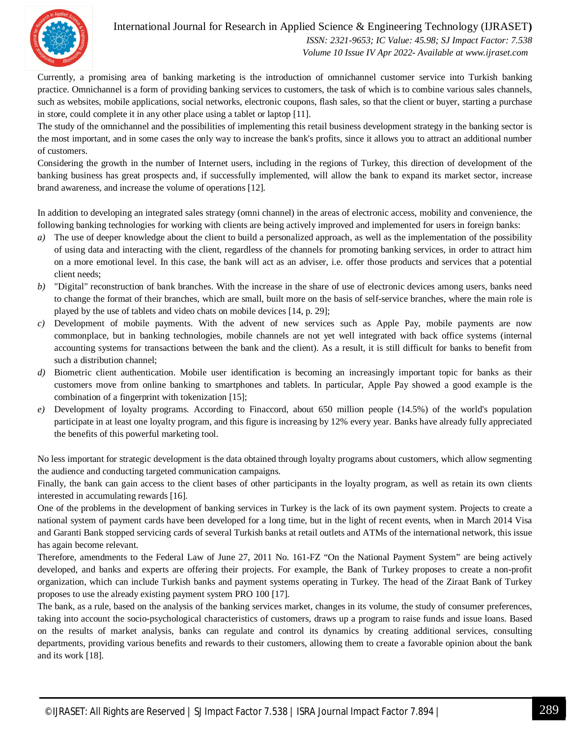

#### International Journal for Research in Applied Science & Engineering Technology (IJRASET**)**  *ISSN: 2321-9653; IC Value: 45.98; SJ Impact Factor: 7.538 Volume 10 Issue IV Apr 2022- Available at www.ijraset.com*

Currently, a promising area of banking marketing is the introduction of omnichannel customer service into Turkish banking practice. Omnichannel is a form of providing banking services to customers, the task of which is to combine various sales channels, such as websites, mobile applications, social networks, electronic coupons, flash sales, so that the client or buyer, starting a purchase in store, could complete it in any other place using a tablet or laptop [11].

The study of the omnichannel and the possibilities of implementing this retail business development strategy in the banking sector is the most important, and in some cases the only way to increase the bank's profits, since it allows you to attract an additional number of customers.

Considering the growth in the number of Internet users, including in the regions of Turkey, this direction of development of the banking business has great prospects and, if successfully implemented, will allow the bank to expand its market sector, increase brand awareness, and increase the volume of operations [12].

In addition to developing an integrated sales strategy (omni channel) in the areas of electronic access, mobility and convenience, the following banking technologies for working with clients are being actively improved and implemented for users in foreign banks:

- *a*) The use of deeper knowledge about the client to build a personalized approach, as well as the implementation of the possibility of using data and interacting with the client, regardless of the channels for promoting banking services, in order to attract him on a more emotional level. In this case, the bank will act as an adviser, i.e. offer those products and services that a potential client needs;
- *b)* "Digital" reconstruction of bank branches. With the increase in the share of use of electronic devices among users, banks need to change the format of their branches, which are small, built more on the basis of self-service branches, where the main role is played by the use of tablets and video chats on mobile devices [14, p. 29];
- *c)* Development of mobile payments. With the advent of new services such as Apple Pay, mobile payments are now commonplace, but in banking technologies, mobile channels are not yet well integrated with back office systems (internal accounting systems for transactions between the bank and the client). As a result, it is still difficult for banks to benefit from such a distribution channel;
- *d)* Biometric client authentication. Mobile user identification is becoming an increasingly important topic for banks as their customers move from online banking to smartphones and tablets. In particular, Apple Pay showed a good example is the combination of a fingerprint with tokenization [15];
- *e)* Development of loyalty programs. According to Finaccord, about 650 million people (14.5%) of the world's population participate in at least one loyalty program, and this figure is increasing by 12% every year. Banks have already fully appreciated the benefits of this powerful marketing tool.

No less important for strategic development is the data obtained through loyalty programs about customers, which allow segmenting the audience and conducting targeted communication campaigns.

Finally, the bank can gain access to the client bases of other participants in the loyalty program, as well as retain its own clients interested in accumulating rewards [16].

One of the problems in the development of banking services in Turkey is the lack of its own payment system. Projects to create a national system of payment cards have been developed for a long time, but in the light of recent events, when in March 2014 Visa and Garanti Bank stopped servicing cards of several Turkish banks at retail outlets and ATMs of the international network, this issue has again become relevant.

Therefore, amendments to the Federal Law of June 27, 2011 No. 161-FZ "On the National Payment System" are being actively developed, and banks and experts are offering their projects. For example, the Bank of Turkey proposes to create a non-profit organization, which can include Turkish banks and payment systems operating in Turkey. The head of the Ziraat Bank of Turkey proposes to use the already existing payment system PRO 100 [17].

The bank, as a rule, based on the analysis of the banking services market, changes in its volume, the study of consumer preferences, taking into account the socio-psychological characteristics of customers, draws up a program to raise funds and issue loans. Based on the results of market analysis, banks can regulate and control its dynamics by creating additional services, consulting departments, providing various benefits and rewards to their customers, allowing them to create a favorable opinion about the bank and its work [18].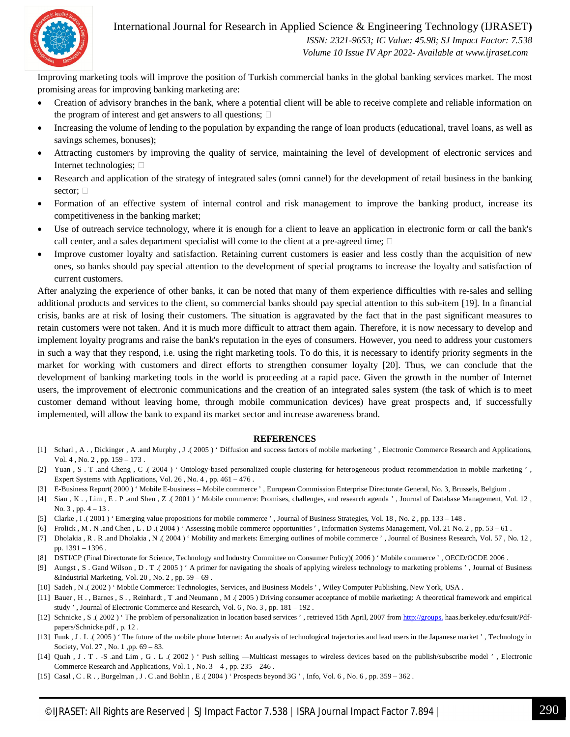

International Journal for Research in Applied Science & Engineering Technology (IJRASET**)**

 *ISSN: 2321-9653; IC Value: 45.98; SJ Impact Factor: 7.538 Volume 10 Issue IV Apr 2022- Available at www.ijraset.com*

Improving marketing tools will improve the position of Turkish commercial banks in the global banking services market. The most promising areas for improving banking marketing are:

- Creation of advisory branches in the bank, where a potential client will be able to receive complete and reliable information on the program of interest and get answers to all questions;  $\Box$
- Increasing the volume of lending to the population by expanding the range of loan products (educational, travel loans, as well as savings schemes, bonuses);
- Attracting customers by improving the quality of service, maintaining the level of development of electronic services and Internet technologies;  $\square$
- Research and application of the strategy of integrated sales (omni cannel) for the development of retail business in the banking sector;  $\square$
- Formation of an effective system of internal control and risk management to improve the banking product, increase its competitiveness in the banking market;
- Use of outreach service technology, where it is enough for a client to leave an application in electronic form or call the bank's call center, and a sales department specialist will come to the client at a pre-agreed time;  $\Box$
- Improve customer loyalty and satisfaction. Retaining current customers is easier and less costly than the acquisition of new ones, so banks should pay special attention to the development of special programs to increase the loyalty and satisfaction of current customers.

After analyzing the experience of other banks, it can be noted that many of them experience difficulties with re-sales and selling additional products and services to the client, so commercial banks should pay special attention to this sub-item [19]. In a financial crisis, banks are at risk of losing their customers. The situation is aggravated by the fact that in the past significant measures to retain customers were not taken. And it is much more difficult to attract them again. Therefore, it is now necessary to develop and implement loyalty programs and raise the bank's reputation in the eyes of consumers. However, you need to address your customers in such a way that they respond, i.e. using the right marketing tools. To do this, it is necessary to identify priority segments in the market for working with customers and direct efforts to strengthen consumer loyalty [20]. Thus, we can conclude that the development of banking marketing tools in the world is proceeding at a rapid pace. Given the growth in the number of Internet users, the improvement of electronic communications and the creation of an integrated sales system (the task of which is to meet customer demand without leaving home, through mobile communication devices) have great prospects and, if successfully implemented, will allow the bank to expand its market sector and increase awareness brand.

#### **REFERENCES**

- [1] Scharl , A . , Dickinger , A .and Murphy , J .(2005) ' Diffusion and success factors of mobile marketing ', Electronic Commerce Research and Applications, Vol. 4 , No. 2 , pp. 159 – 173 .
- [2] Yuan , S . T .and Cheng , C .( 2004 ) ' Ontology-based personalized couple clustering for heterogeneous product recommendation in mobile marketing ' , Expert Systems with Applications, Vol. 26 , No. 4 , pp. 461 – 476 .
- [3] E-Business Report( 2000 ) ' Mobile E-business Mobile commerce ' , European Commission Enterprise Directorate General, No. 3, Brussels, Belgium .
- [4] Siau , K . , Lim , E . P .and Shen , Z .( 2001 ) ' Mobile commerce: Promises, challenges, and research agenda ' , Journal of Database Management, Vol. 12 , No.  $3$ , pp.  $4 - 13$ .
- [5] Clarke , I .( 2001 ) ' Emerging value propositions for mobile commerce ' , Journal of Business Strategies, Vol. 18 , No. 2 , pp. 133 148 .
- [6] Frolick , M . N .and Chen , L . D .( 2004 ) ' Assessing mobile commerce opportunities ' , Information Systems Management, Vol. 21 No. 2 , pp. 53 61 .
- [7] Dholakia , R . R .and Dholakia , N .( 2004 ) ' Mobility and markets: Emerging outlines of mobile commerce ' , Journal of Business Research, Vol. 57 , No. 12 , pp. 1391 – 1396 .
- [8] DSTI/CP (Final Directorate for Science, Technology and Industry Committee on Consumer Policy)( 2006 ) ' Mobile commerce ' , OECD/OCDE 2006 .
- [9] Aungst , S . Gand Wilson , D . T .( 2005 ) ' A primer for navigating the shoals of applying wireless technology to marketing problems ' , Journal of Business &Industrial Marketing, Vol. 20, No.  $2$ , pp.  $59 - 69$ .
- [10] Sadeh, N. (2002) 'Mobile Commerce: Technologies, Services, and Business Models ', Wiley Computer Publishing, New York, USA.
- [11] Bauer , H . , Barnes , S . , Reinhardt , T .and Neumann , M .( 2005 ) Driving consumer acceptance of mobile marketing: A theoretical framework and empirical study ' , Journal of Electronic Commerce and Research, Vol. 6 , No. 3 , pp. 181 – 192 .
- [12] Schnicke , S .( 2002 ) ' The problem of personalization in location based services ', retrieved 15th April, 2007 from http://groups. haas.berkeley.edu/fcsuit/Pdfpapers/Schnicke.pdf , p. 12 .
- [13] Funk , J . L .( 2005 ) 'The future of the mobile phone Internet: An analysis of technological trajectories and lead users in the Japanese market ', Technology in Society, Vol. 27 , No. 1 ,pp. 69 – 83.
- [14] Quah , J . T . -S .and Lim , G . L .( 2002 ) ' Push selling —Multicast messages to wireless devices based on the publish/subscribe model ', Electronic Commerce Research and Applications, Vol. 1, No.  $3 - 4$ , pp.  $235 - 246$ .
- [15] Casal , C . R . , Burgelman , J . C .and Bohlin , E .( 2004 ) ' Prospects beyond 3G ' , Info, Vol. 6 , No. 6 , pp. 359 362 .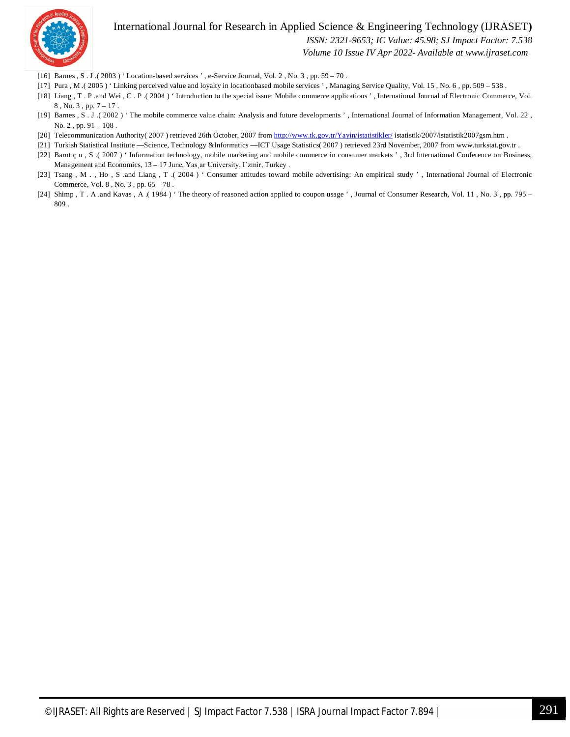

#### International Journal for Research in Applied Science & Engineering Technology (IJRASET**)**

 *ISSN: 2321-9653; IC Value: 45.98; SJ Impact Factor: 7.538*

 *Volume 10 Issue IV Apr 2022- Available at www.ijraset.com*

- [16] Barnes , S . J .( 2003 ) ' Location-based services ' , e-Service Journal, Vol. 2 , No. 3 , pp. 59 70 .
- [17] Pura , M .( 2005 ) ' Linking perceived value and loyalty in locationbased mobile services ', Managing Service Quality, Vol. 15, No. 6, pp. 509 538.
- [18] Liang , T . P .and Wei , C . P .( 2004 ) ' Introduction to the special issue: Mobile commerce applications ' , International Journal of Electronic Commerce, Vol. 8 , No. 3 , pp. 7 – 17 .
- [19] Barnes , S . J .( 2002 ) ' The mobile commerce value chain: Analysis and future developments ' , International Journal of Information Management, Vol. 22 , No. 2 , pp. 91 – 108 .
- [20] Telecommunication Authority( 2007 ) retrieved 26th October, 2007 from http://www.tk.gov.tr/Yayin/istatistikler/ istatistik/2007/istatistik2007gsm.htm .
- [21] Turkish Statistical Institute —Science, Technology &Informatics —ICT Usage Statistics( 2007) retrieved 23rd November, 2007 from www.turkstat.gov.tr .
- [22] Barut ç u , S .( 2007 ) ' Information technology, mobile marketing and mobile commerce in consumer markets ', 3rd International Conference on Business, Management and Economics, 13 – 17 June, Yas ar University, I zmir, Turkey.
- [23] Tsang, M., Ho, S .and Liang, T .(2004) ' Consumer attitudes toward mobile advertising: An empirical study ', International Journal of Electronic Commerce, Vol. 8 , No. 3 , pp. 65 – 78 .
- [24] Shimp , T . A .and Kavas , A .( 1984 ) ' The theory of reasoned action applied to coupon usage ', Journal of Consumer Research, Vol. 11, No. 3, pp. 795 809 .